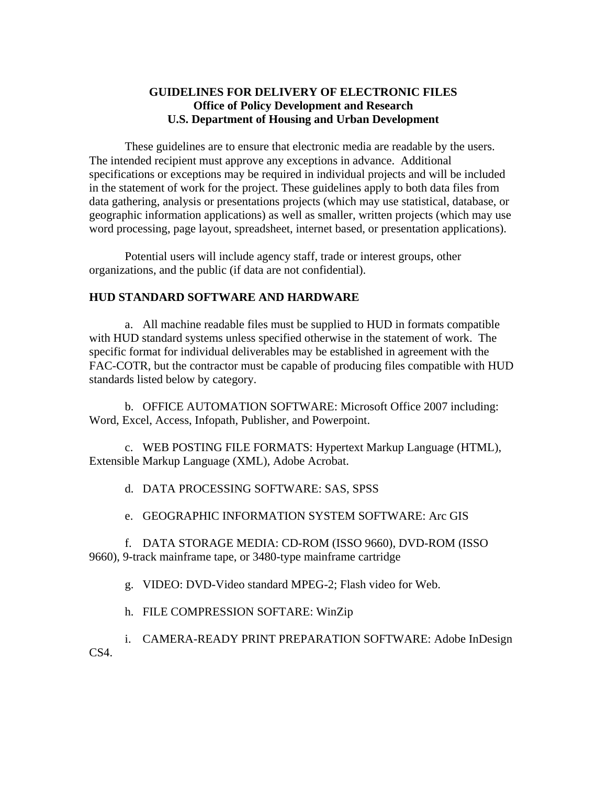# **GUIDELINES FOR DELIVERY OF ELECTRONIC FILES Office of Policy Development and Research U.S. Department of Housing and Urban Development**

These guidelines are to ensure that electronic media are readable by the users. The intended recipient must approve any exceptions in advance. Additional specifications or exceptions may be required in individual projects and will be included in the statement of work for the project. These guidelines apply to both data files from data gathering, analysis or presentations projects (which may use statistical, database, or geographic information applications) as well as smaller, written projects (which may use word processing, page layout, spreadsheet, internet based, or presentation applications).

Potential users will include agency staff, trade or interest groups, other organizations, and the public (if data are not confidential).

### **HUD STANDARD SOFTWARE AND HARDWARE**

a. All machine readable files must be supplied to HUD in formats compatible with HUD standard systems unless specified otherwise in the statement of work. The specific format for individual deliverables may be established in agreement with the FAC-COTR, but the contractor must be capable of producing files compatible with HUD standards listed below by category.

b. OFFICE AUTOMATION SOFTWARE: Microsoft Office 2007 including: Word, Excel, Access, Infopath, Publisher, and Powerpoint.

c. WEB POSTING FILE FORMATS: Hypertext Markup Language (HTML), Extensible Markup Language (XML), Adobe Acrobat.

d. DATA PROCESSING SOFTWARE: SAS, SPSS

e. GEOGRAPHIC INFORMATION SYSTEM SOFTWARE: Arc GIS

f. DATA STORAGE MEDIA: CD-ROM (ISSO 9660), DVD-ROM (ISSO 9660), 9-track mainframe tape, or 3480-type mainframe cartridge

g. VIDEO: DVD-Video standard MPEG-2; Flash video for Web.

h. FILE COMPRESSION SOFTARE: WinZip

i. CAMERA-READY PRINT PREPARATION SOFTWARE: Adobe InDesign  $CS<sub>4</sub>$ .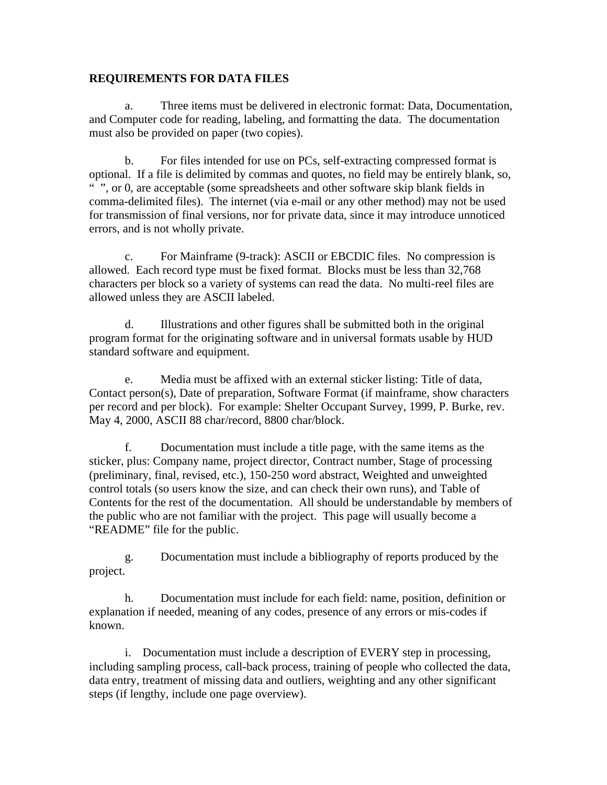### **REQUIREMENTS FOR DATA FILES**

a. Three items must be delivered in electronic format: Data, Documentation, and Computer code for reading, labeling, and formatting the data. The documentation must also be provided on paper (two copies).

b. For files intended for use on PCs, self-extracting compressed format is optional. If a file is delimited by commas and quotes, no field may be entirely blank, so, " ", or 0, are acceptable (some spreadsheets and other software skip blank fields in comma-delimited files). The internet (via e-mail or any other method) may not be used for transmission of final versions, nor for private data, since it may introduce unnoticed errors, and is not wholly private.

c. For Mainframe (9-track): ASCII or EBCDIC files. No compression is allowed. Each record type must be fixed format. Blocks must be less than 32,768 characters per block so a variety of systems can read the data. No multi-reel files are allowed unless they are ASCII labeled.

d. Illustrations and other figures shall be submitted both in the original program format for the originating software and in universal formats usable by HUD standard software and equipment.

e. Media must be affixed with an external sticker listing: Title of data, Contact person(s), Date of preparation, Software Format (if mainframe, show characters per record and per block). For example: Shelter Occupant Survey, 1999, P. Burke, rev. May 4, 2000, ASCII 88 char/record, 8800 char/block.

f. Documentation must include a title page, with the same items as the sticker, plus: Company name, project director, Contract number, Stage of processing (preliminary, final, revised, etc.), 150-250 word abstract, Weighted and unweighted control totals (so users know the size, and can check their own runs), and Table of Contents for the rest of the documentation. All should be understandable by members of the public who are not familiar with the project. This page will usually become a "README" file for the public.

g. Documentation must include a bibliography of reports produced by the project.

h. Documentation must include for each field: name, position, definition or explanation if needed, meaning of any codes, presence of any errors or mis-codes if known.

i. Documentation must include a description of EVERY step in processing, including sampling process, call-back process, training of people who collected the data, data entry, treatment of missing data and outliers, weighting and any other significant steps (if lengthy, include one page overview).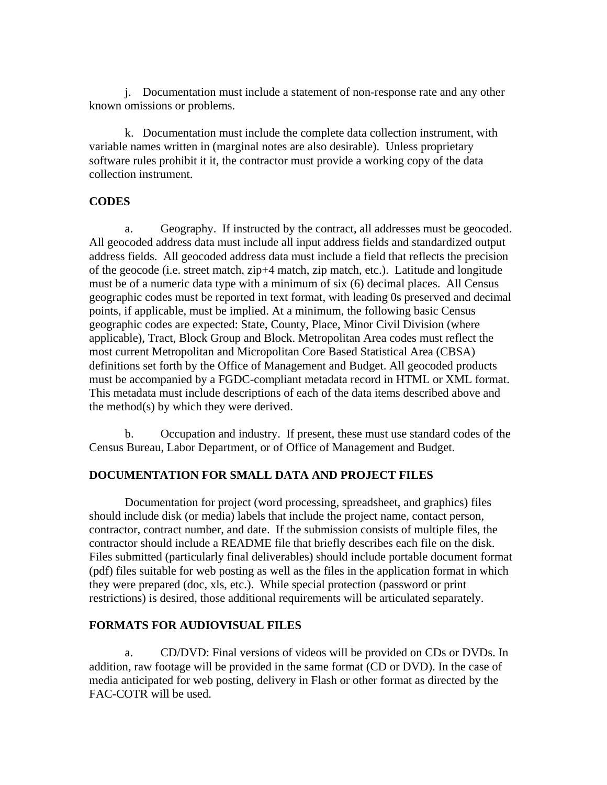j. Documentation must include a statement of non-response rate and any other known omissions or problems.

k. Documentation must include the complete data collection instrument, with variable names written in (marginal notes are also desirable). Unless proprietary software rules prohibit it it, the contractor must provide a working copy of the data collection instrument.

# **CODES**

a. Geography. If instructed by the contract, all addresses must be geocoded. All geocoded address data must include all input address fields and standardized output address fields. All geocoded address data must include a field that reflects the precision of the geocode (i.e. street match, zip+4 match, zip match, etc.). Latitude and longitude must be of a numeric data type with a minimum of six (6) decimal places. All Census geographic codes must be reported in text format, with leading 0s preserved and decimal points, if applicable, must be implied. At a minimum, the following basic Census geographic codes are expected: State, County, Place, Minor Civil Division (where applicable), Tract, Block Group and Block. Metropolitan Area codes must reflect the most current Metropolitan and Micropolitan Core Based Statistical Area (CBSA) definitions set forth by the Office of Management and Budget. All geocoded products must be accompanied by a FGDC-compliant metadata record in HTML or XML format. This metadata must include descriptions of each of the data items described above and the method(s) by which they were derived.

b. Occupation and industry. If present, these must use standard codes of the Census Bureau, Labor Department, or of Office of Management and Budget.

### **DOCUMENTATION FOR SMALL DATA AND PROJECT FILES**

Documentation for project (word processing, spreadsheet, and graphics) files should include disk (or media) labels that include the project name, contact person, contractor, contract number, and date. If the submission consists of multiple files, the contractor should include a README file that briefly describes each file on the disk. Files submitted (particularly final deliverables) should include portable document format (pdf) files suitable for web posting as well as the files in the application format in which they were prepared (doc, xls, etc.). While special protection (password or print restrictions) is desired, those additional requirements will be articulated separately.

### **FORMATS FOR AUDIOVISUAL FILES**

a. CD/DVD: Final versions of videos will be provided on CDs or DVDs. In addition, raw footage will be provided in the same format (CD or DVD). In the case of media anticipated for web posting, delivery in Flash or other format as directed by the FAC-COTR will be used.